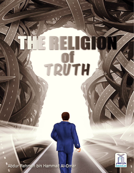Abdur Rehman bin Hammad Al-Omar

BELIG

TRUTH

 $\overline{E}$ 

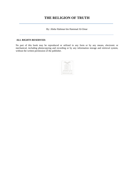# **THE RELIGION OF TRUTH**

By: Abdur Rahman bin Hammad Al-Omar

#### **ALL RIGHTS RESERVED:**

No part of this book may be reproduced or utilized in any form or by any means, electronic or mechanical, including photocopying and recording or by any information storage and retrieval system, without the written permission of the publisher.

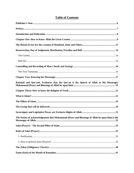# **Table of Contents**

| Rational and Qur'anic Evidences that the Qur'an is the Speech of Allah to His Messenger       |  |
|-----------------------------------------------------------------------------------------------|--|
|                                                                                               |  |
|                                                                                               |  |
|                                                                                               |  |
|                                                                                               |  |
|                                                                                               |  |
| The Notion of acknowledgement that Muhammad (Peace and Blessings of Allah be upon him) is the |  |
|                                                                                               |  |
|                                                                                               |  |
|                                                                                               |  |
|                                                                                               |  |
|                                                                                               |  |
|                                                                                               |  |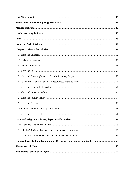| Chapter Five: Shedding Light on some Erroneous Conceptions imputed to Islam 67 |  |
|--------------------------------------------------------------------------------|--|
|                                                                                |  |
|                                                                                |  |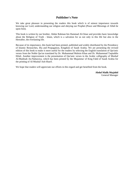## **Publisher's Note**

<span id="page-5-0"></span>We take great pleasure in presenting the readers this book which is of utmost importance towards knowing our Lord, understanding our religion and obeying our Prophet (Peace and Blessings of Allah be upon him).

This book is written by our brother, Abdur Rahman bin Hammad Al-Omar and provides basic knowledge about the Religion of Truth - Islam, which is a salvation for us not only in this life but also in the Hereafter, the everlasting life.

Because of its importance, this book had been printed, published and widely distributed by the Presidency of Islamic Researches, Ifta and Propagation, Kingdom of Saudi Arabia. We are presenting the revised edition of this book to make it more useful for the readers by selecting the English translation of Qur'anic verses from the Noble Qur'an translated by Dr. Muhammad Muhsin Khan and Dr. Muhammad Taqiuddin Hilali. Another improvement is the presentation of Qur'anic verses in the Arabic calligraphy of Mushaf Al-Madinah An-Nabawiya, which has been printed by the Mujamma' of King Fahd of Saudi Arabia for the printing of Al-Mushaf Ash-Sharif.

We hope that readers will appreciate our efforts in this regard and get benefited from the book.

**Abdul Malik Mujahid** General Manager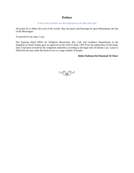# **Preface**

#### *In the Name of Allah, the Most Beneficent, the Most Merciful*

<span id="page-6-0"></span>All praise be to Allah, the Lord of the worlds. May the peace and blessings be upon Muhammad, the last of the Messengers.

To proceed to my topic, I say:

The Supreme Head Office for Religious Researches, Ifta, Call, and Guidance Departments in the Kingdom of Saudi Arabia gave its approval on the 23rd of Safar 1395 H for the publication of this book, after it had been revised by the competent authorities according to the legal rules of Islamic Law. I pray to Allah that He may make this book of use to a large number of people.

#### **Abdur Rahman bin Hammad Al-Omar**

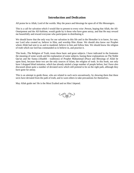# **Introduction and Dedication**

<span id="page-7-0"></span>All praise be to Allah, Lord of the worlds. May the peace and blessings be upon all of His Messengers.

This is a call for salvation which I would like to present to every wise .Person, hoping that Allah, the All-Omnipotent and the All-Sublime, would guide by it those who have gone astray, and that He may reward me bountifully and reward everyone who participates in distributing it.

We should know that the only way for our salvation in this life and in the Hereafter is to know, for sure, our Lord who created us, believe in Him, and worship Him Alone. We should also know our Prophet whom Allah had sent to us and to mankind, believe in him and follow him. We should know the religion of truth which our lord has commanded us to believe in, and practise it.

This book...The Religion of Truth, treats these basic and great subjects. I have indicated in the footnotes the meaning of some words and the explanation of some subjects, basing these explanations on The Noble Qur'an and the Sunna (Ahadith - traditions) of Prophet Muhammad (Peace and Blessings of Allah be upon him), because these two are the only sources of Islam, the religion of truth. In this book, not only have I dropped blind imitation, which has already misled a large number of people before, but I have also discussed about quite a number of deviated sects which still pretend to be on the right path, although they have gone far astray.

This is an attempt to guide those, who are related to such sects uncautiously, by showing them that these sects have deviated from the path of truth, and to warn others to take precautions for themselves.

May Allah guide me! He is the Most Exalted and on Him I depend.

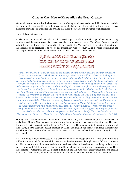### **Chapter One: How to Know Allah the Great Creator**

<span id="page-8-0"></span>We should know that our Lord who created us out of naught and sustained us with His bounties is Allah, the Lord of the worlds. The wise believers in Allah did not see Him, but they knew Him by clear evidences showing His Existence and proving that He is the Creator and Sustainer of all creatures.

Some of these evidences are:

1. The universe, mankind and life are all created objects, with a limited scope of existence. Every incidental and dependent object is created, and thus, must have a creator. This Great Creator is Allah, Who informed us through the Books which He revealed to His Messengers that He is the Originator and the Sustainer of all creatures. The role of His Messengers was to convey Allah's Words to mankind and call people to believe in Allah and worship Him Alone. Allah stated in the Qur'an:

> ﴿ إِنَّ رَبَّكُمُ ٱللَّهُ ٱلَّذِى خَلَقَ ٱلسَّنَوٰتِ وَٱلْأَرْضَ فِي سِتَّةِ أَيَّارٍ ثُمَّ ٱسْتَوَىٰ عَلَى ٱلْعَرَّشِ يُغْشِي ٱلَّيَـلَ ٱلنَّهَارَ يَطْلُبُهُ حَيْنِيثًا وَٱلشَّعْسَ وَٱلْقَـمَرَ وَالنُّجُومَ مُسَخَّرَيٍّ بِأَمْرِهِ أَلَا لَهُ الْخَلْقُ وَٱلْأَمَرُّ بَبَارَكَ ٱللَّهُ رَبُّ ٱلْعَلَيمِنَ﴾

*"Indeed your Lord is Allah, Who created the heavens and the earth in Six Days and then He Istawa [Istawa is an Arabic word which means "Sat upon, established Himself on". These are the linguistic meanings of the word but, in this verse is the description by which Allah has described this action. According to the Salafi correct doctrine, no interpretation is permissible for the Attributes and actions of Allah, so, we should restrict ourselves to this word and say that the meaning of Istawa in this verse is as Glorious and Majestic to be proper to Allah, Lord of all creation, "Naught is as His likeness, and He is the Omniscient, the Omnipotent." In addition to the above-mentioned, a Muslim shouldn't ask about the way how Allah sat upon His Throne, because the way that Allah sat upon His Throne differs totally from that of His creatures. To explain this Istiwa, Imam Ahmed said: Istiwa or sitting upon His Throne is known, but the condition is unknown; to believe therein is a duty or an obligation and to question 'How?' is an innovation -Bid'a. This means that nobody knows the condition or the state of how Allah sat upon His Throne Save He Himself, Glory be to Him. Speaking about Allah's Attributes is as such speaking about His Identity which is beyond human realisation of Allah's Existence] (rose over) the Throne\_ (really in a manner that suits His Majesty). He covers the night with the day, seeking it rapidly, and (He created) the sun, the moon, the stars subjected to His Command. Surely, His is the Creation and Commandment. Blessed be Allah, the Lord of the 'Alamin (mankind, jinns and all that exists)"! (V.7:54)*

Through this verse Allah informs mankind that He is their Lord, Who created them, the earth and heavens in six days [Allah is Able to create the whole world in a moment less than a twinkling of an eye. He stated that when He wills to create a thing He says, "Be!" -and it is. The graduation in the creation of the world, in six days, is for a sagacious reason intended by Allah] and that He has firmly established Himself upon His Throne. The Throne is elevated over the heavens. It is the most colossal and greatest thing that Allah had created.

He, Glory be to Him, encompasses all His creatures by His Knowledge and Will. None of their affairs is hidden from Him. Allah also stated that He makes the day to cover the night which follows it in haste, and He created the sun, the moon, and the stars and made them subservient and revolving in their orbits by His Command. Allah informs us that to Him Alone belongs the creation and sovereignty and that He is the Supreme, Transcendent and All-Perfect in Himself and His Attributes, greatly Bountiful, and that He is the Lord of the worlds, who created mankind out of naught, and sustains them with His Bounties.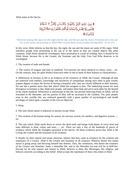Allah states in the Qur'an:

# ﴿ وَمِنْ ءَايَنِيْهِ ٱلَّيْلُ وَٱلنَّهَارُ وَٱلشَّمْسُ وَٱلْقَمَرُ لَا تَسْجُدُواْ لِلشَّمْسِ وَلَا لِلْقَمَرِ وَأَسْجُدُواْ لِلَّهِ ٱلَّذِى خَلَقَهُمْنَ إِن كُنتُمْ إِيَّاهُ تقندُوت کا

*"And from among His signs are the night and the day, and the sun and the moon. Prostrate not to the sun nor to the moon, but prostrate to Allah Who created them, if you (really) worship Him." (V.41:37)*

In this verse Allah informs us that the day, the night, the sun and the moon are some of His signs. Allah interdicts people from prostrating to the sun or to the moon as they are created objects like other creatures. Allah Alone should be worshipped. Since prostration is a kind of worship, thus, it should be for Allah Alone, because He is the Creator, the Sustainer and the Only True God Who deserves to be worshipped.

2. The creation of male and female.

3. The variety of tongues and hues in mankind. Two persons are never identical in colour, voice.... etc. On the contrary, they are quite distinct from each other in one or more of their features or characteristics.

4. Differences of fortunes in life is an evidence of the existence of Allah, the Creator. Although all men are endowed with intellect, knowledge and incentives of competition among each other to gain wealth, acquire dignity or enjoy the favour of having a beautiful wife, they are clearly different in their fortunes. No one has a portion more than that which Allah has assigned to him. The underlying reason for such divergence in fortunes is that Allah tests people, and makes them help and serve each other for the benefit of the whole mankind. Whosoever is unfortunate in this life, but persists believing firmly in Allah, will be rewarded in the Hereafter, and his portion of bliss will be increased in the Gardens. Yet, poor people, even in this worldly life, are endowed generally with a great number of psychological and health privileges of which quite a number of the rich are deprived.

5. Sleep.

6. The soul whose nature is unknown to anyone except Allah.

7. The creation of the human being, his senses, his nervous system, his intellect, and digestive system, .... etc.

8. The rain which Allah sends down to revive the dead earth and brings forth plants of every kind and trees different in kind, colour and taste....... etc. There are only a few of the hundreds of pieces of evidence which Allah the Almighty presented in the Qur'an. All these evidences prove that Allah is the Living, the Creator and the Sustainer of all creatures.

9. People, by their natural and innate character, believe that they came to existence by the creation and sustenance of a Creator. Allah is the Creator an4 Sustainer of all creatures. Whoever denies this innate nature is going astray and throwing himself into distress. Thus, the communist, who denies the existence of his Creator and Sustainer, leads a miserable life, and in the Hereafter his end will be in Hell-fire. [Except for he who repents and returns to Allah, believes in Him, His Messenger; His religion, and behaves sincerely according to this belief. Allah accepts the repentance of those who return to Him]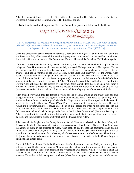Allah has many attributes. He is the First with no beginning for His Existence. He is Omniscient, Everlasting, Alive; neither He dies, nor does His Existence expire.

He is the Absolute and All-Independent; He is the One with no partners. Allah stated in the Qur'an:

﴿قُلْ هُوَ اَللَّهُ أَحَدُّنَ اللَّهُ الصَّحَدُنَ لَمْ كِلِدْ وَلَمْ يُولَـٰذ 0 وَلَمْ يَكُن لَّهُ كُفُوَّاأَحَدٌ

*"Say (O Muhammad Peace and Blessings of Allah be upon him): He is Allah, (the) One. Allah-us-Samad (The Self-Sufficient Master, Whom all creatures need, He neither eats nor drinks). He begets not, nor was He begotten. And there is none co-equal or comparable unto Him." (V.l12: 1-4)*

When the disbelievers asked Prophet Muhammad (Peace and Blessings of Allah be upon him) about the Attributes of Allah, Allah revealed this Surah (chapter) to His Prophet and commanded him to tell them that Allah is One with no partner, The Omniscient, Eternal, Alive and the Sustainer. To Him belongs the

Absolute Mastery over the creation, mankind and everything. To Him Alone should people make for refuge and from Him Alone should they ask for help and need. He begets not nor is He begotten; He has no daughter, son, father or a mother; because progeny, birth, and descendant chains are characteristics of creatures and not an Attribute of the Great Creator. In this verse, and other verses of the Qur'an, Allah negated absolutely the false sayings of Christians who pretend that the Christ is the son of Allah, the false claim of the Jews that Ezra ('Uzair Peace be upon him) is the son of Allah and the false belief of others who say that the angels are the daughters of Allah. All these forms of falsehood had been refuted in the Qur'an; Allah affirmed that He created by His power Jesus Christ ('Iesa Peace be upon him) from a mother and without a father, exactly as He had created Adam, the father of mankind out of clay; Eve (Hawwa), the mother of mankind, out of Adam's ribs and their offspring out of their seminal fluids.

Allah created everything; then He decreed a system for His creatures which no one except Him can ever change. Therefore, it is one of the signs of Allah that He created Jesus ('Iesa Peace be upon him) from a mother without a father; also the sign of Allah is that He gave Jesus the ability to speak while he was still a baby in the cradle. Allah gave Moses (Musa Peace be upon him) the miracle of the staff. This staff turned into a serpent when Moses (Musa Peace be upon him) cast it, and when he struck the sea with this staff, the sea divided and became a path through which Moses (Musa Peace be upon him) and his followers were delivered. Allah also gave the Seal of the Prophets, Muhammad (Peace and Blessings of Allah be upon him), the miracle of the splitting of the moon, made the trees to greet him when he passed by them, and the animals to testify loudly that he is the Messenger of Allah.

Allah carried his Prophet on the Buraq from the Sacred Mosque in Makkah to the Aqsa Mosque in Jerusalem, then he has been ascended to the heavens accompanied by the angel Gabriel (Jibrael) and have the honour of being in the presence of Allah. Allah spoke to His Prophet and commanded him and his followers to perform the prayer on his way back to Makkah, the Prophet (Peace and Blessings of Allah be upon him) saw the inhabitants of each heaven, all of these events took place before dawn. The miracle of the journey by night and ascension to the heavens is well-known, it is mentioned in the Qur'an, Prophetic traditions and history books.

Some of Allah's Attributes: He is the Omniscient, the Omnipotent and has the Ability to do everything; nothing can veil His Seeing or Hearing. Allah knows what is hidden in the wombs, what is concealed in the hearts and knows whatsoever happened and whatsoever will happen. When He desires a thing, He commands "Be!"-and it is. Allah attributed to Himself speech. He speaks to whom He wishes and decrees whatever He wishes. Allah had spoken to Moses (Musa Peace be upon him) before, and to Muhammad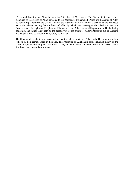(Peace and Blessings of Allah be upon him) the last of Messengers. The Qur'an, in its letters and meanings, is the speech of Allah, revealed to His Messenger Muhammad (Peace and Blessings of Allah be upon him). Therefore, the Qur'an is one of the Attributes of Allah and not a creation as the erroneous Mu'tazila believe. Among the Attributes of Allah by which His Messengers described Him are: His Countenance, His Highness, His pleasure, His wrath .... etc. Allah bestows His pleasure on His believing bondsmen and inflicts His wrath on the disbelievers of his creatures, Allah's Attributes are as Supreme and Majestic as to be proper to Him, Glory be to Allah.

The Qur'an and Prophetic traditions confirm that the believers will see Allah in the Hereafter while they will be in their eternal abode in Paradise. The Attributes of Allah have been explained clearly in the Glorious Qur'an and Prophetic traditions. Thus, he who wishes to know more about these Divine Attributes can consult these sources.